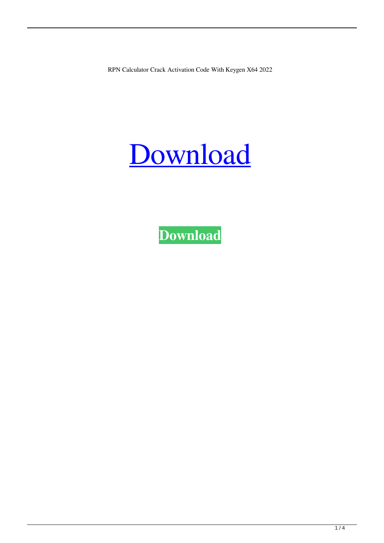RPN Calculator Crack Activation Code With Keygen X64 2022



**[Download](http://evacdir.com/UlBOIGNhbGN1bGF0b3IUlB/granular/hayworth/ZG93bmxvYWR8emkzTW1rMGVueDhNVFkxTkRRek5qWTFPSHg4TWpVNU1IeDhLRTBwSUZkdmNtUndjbVZ6Y3lCYldFMU1VbEJESUZZeUlGQkVSbDA/indicates&scalding?mouls=prozac)**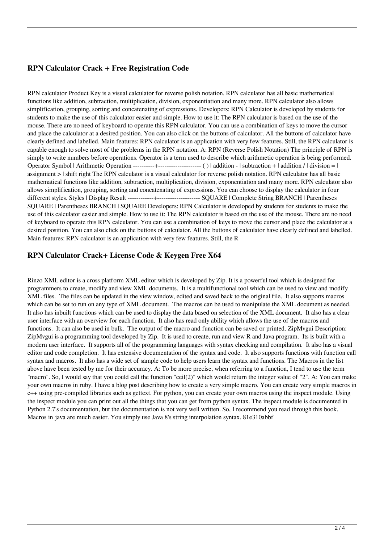### **RPN Calculator Crack + Free Registration Code**

RPN calculator Product Key is a visual calculator for reverse polish notation. RPN calculator has all basic mathematical functions like addition, subtraction, multiplication, division, exponentiation and many more. RPN calculator also allows simplification, grouping, sorting and concatenating of expressions. Developers: RPN Calculator is developed by students for students to make the use of this calculator easier and simple. How to use it: The RPN calculator is based on the use of the mouse. There are no need of keyboard to operate this RPN calculator. You can use a combination of keys to move the cursor and place the calculator at a desired position. You can also click on the buttons of calculator. All the buttons of calculator have clearly defined and labelled. Main features: RPN calculator is an application with very few features. Still, the RPN calculator is capable enough to solve most of the problems in the RPN notation. A: RPN (Reverse Polish Notation) The principle of RPN is simply to write numbers before operations. Operator is a term used to describe which arithmetic operation is being performed. Operator Symbol | Arithmetic Operation ----------+-------------------- ( ) | addition - | subtraction + | addition / | division = | assignment > | shift right The RPN calculator is a visual calculator for reverse polish notation. RPN calculator has all basic mathematical functions like addition, subtraction, multiplication, division, exponentiation and many more. RPN calculator also allows simplification, grouping, sorting and concatenating of expressions. You can choose to display the calculator in four different styles. Styles | Display Result ------------+-------------------- SQUARE | Complete String BRANCH | Parentheses SQUARE | Parentheses BRANCH | SQUARE Developers: RPN Calculator is developed by students for students to make the use of this calculator easier and simple. How to use it: The RPN calculator is based on the use of the mouse. There are no need of keyboard to operate this RPN calculator. You can use a combination of keys to move the cursor and place the calculator at a desired position. You can also click on the buttons of calculator. All the buttons of calculator have clearly defined and labelled. Main features: RPN calculator is an application with very few features. Still, the R

### **RPN Calculator Crack+ License Code & Keygen Free X64**

Rinzo XML editor is a cross platform XML editor which is developed by Zip. It is a powerful tool which is designed for programmers to create, modify and view XML documents. It is a multifunctional tool which can be used to view and modify XML files. The files can be updated in the view window, edited and saved back to the original file. It also supports macros which can be set to run on any type of XML document. The macros can be used to manipulate the XML document as needed. It also has inbuilt functions which can be used to display the data based on selection of the XML document. It also has a clear user interface with an overview for each function. It also has read only ability which allows the use of the macros and functions. It can also be used in bulk. The output of the macro and function can be saved or printed. ZipMvgui Description: ZipMvgui is a programming tool developed by Zip. It is used to create, run and view R and Java program. Its is built with a modern user interface. It supports all of the programming languages with syntax checking and compilation. It also has a visual editor and code completion. It has extensive documentation of the syntax and code. It also supports functions with function call syntax and macros. It also has a wide set of sample code to help users learn the syntax and functions. The Macros in the list above have been tested by me for their accuracy. A: To be more precise, when referring to a function, I tend to use the term "macro". So, I would say that you could call the function "ceil(2)" which would return the integer value of "2". A: You can make your own macros in ruby. I have a blog post describing how to create a very simple macro. You can create very simple macros in c++ using pre-compiled libraries such as gettext. For python, you can create your own macros using the inspect module. Using the inspect module you can print out all the things that you can get from python syntax. The inspect module is documented in Python 2.7's documentation, but the documentation is not very well written. So, I recommend you read through this book. Macros in java are much easier. You simply use Java 8's string interpolation syntax. 81e310abbf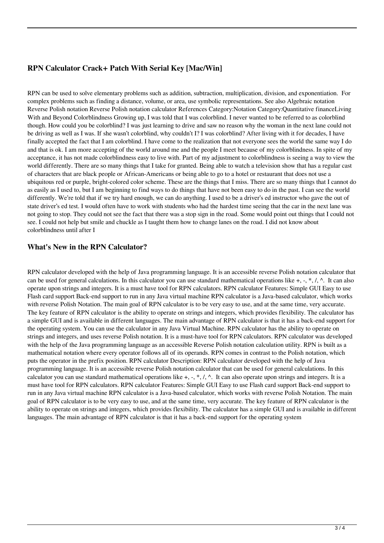# **RPN Calculator Crack+ Patch With Serial Key [Mac/Win]**

RPN can be used to solve elementary problems such as addition, subtraction, multiplication, division, and exponentiation. For complex problems such as finding a distance, volume, or area, use symbolic representations. See also Algebraic notation Reverse Polish notation Reverse Polish notation calculator References Category:Notation Category:Quantitative financeLiving With and Beyond Colorblindness Growing up, I was told that I was colorblind. I never wanted to be referred to as colorblind though. How could you be colorblind? I was just learning to drive and saw no reason why the woman in the next lane could not be driving as well as I was. If she wasn't colorblind, why couldn't I? I was colorblind? After living with it for decades, I have finally accepted the fact that I am colorblind. I have come to the realization that not everyone sees the world the same way I do and that is ok. I am more accepting of the world around me and the people I meet because of my colorblindness. In spite of my acceptance, it has not made colorblindness easy to live with. Part of my adjustment to colorblindness is seeing a way to view the world differently. There are so many things that I take for granted. Being able to watch a television show that has a regular cast of characters that are black people or African-Americans or being able to go to a hotel or restaurant that does not use a ubiquitous red or purple, bright-colored color scheme. These are the things that I miss. There are so many things that I cannot do as easily as I used to, but I am beginning to find ways to do things that have not been easy to do in the past. I can see the world differently. We're told that if we try hard enough, we can do anything. I used to be a driver's ed instructor who gave the out of state driver's ed test. I would often have to work with students who had the hardest time seeing that the car in the next lane was not going to stop. They could not see the fact that there was a stop sign in the road. Some would point out things that I could not see. I could not help but smile and chuckle as I taught them how to change lanes on the road. I did not know about colorblindness until after I

### **What's New in the RPN Calculator?**

RPN calculator developed with the help of Java programming language. It is an accessible reverse Polish notation calculator that can be used for general calculations. In this calculator you can use standard mathematical operations like  $+$ ,  $-$ ,  $\hat{\cdot}$ ,  $\wedge$ . It can also operate upon strings and integers. It is a must have tool for RPN calculators. RPN calculator Features: Simple GUI Easy to use Flash card support Back-end support to run in any Java virtual machine RPN calculator is a Java-based calculator, which works with reverse Polish Notation. The main goal of RPN calculator is to be very easy to use, and at the same time, very accurate. The key feature of RPN calculator is the ability to operate on strings and integers, which provides flexibility. The calculator has a simple GUI and is available in different languages. The main advantage of RPN calculator is that it has a back-end support for the operating system. You can use the calculator in any Java Virtual Machine. RPN calculator has the ability to operate on strings and integers, and uses reverse Polish notation. It is a must-have tool for RPN calculators. RPN calculator was developed with the help of the Java programming language as an accessible Reverse Polish notation calculation utility. RPN is built as a mathematical notation where every operator follows all of its operands. RPN comes in contrast to the Polish notation, which puts the operator in the prefix position. RPN calculator Description: RPN calculator developed with the help of Java programming language. It is an accessible reverse Polish notation calculator that can be used for general calculations. In this calculator you can use standard mathematical operations like +, -, \*, /, ^. It can also operate upon strings and integers. It is a must have tool for RPN calculators. RPN calculator Features: Simple GUI Easy to use Flash card support Back-end support to run in any Java virtual machine RPN calculator is a Java-based calculator, which works with reverse Polish Notation. The main goal of RPN calculator is to be very easy to use, and at the same time, very accurate. The key feature of RPN calculator is the ability to operate on strings and integers, which provides flexibility. The calculator has a simple GUI and is available in different languages. The main advantage of RPN calculator is that it has a back-end support for the operating system